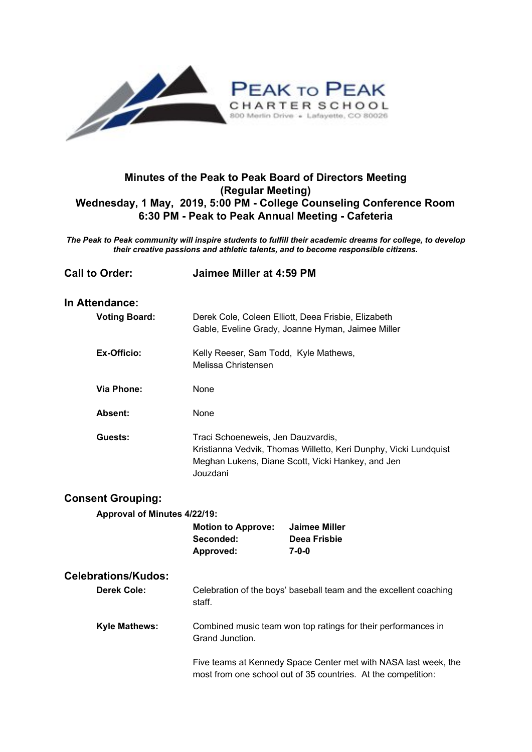

## **Minutes of the Peak to Peak Board of Directors Meeting (Regular Meeting) Wednesday, 1 May, 2019, 5:00 PM - College Counseling Conference Room 6:30 PM - Peak to Peak Annual Meeting - Cafeteria**

*The Peak to Peak community will inspire students to fulfill their academic dreams for college, to develop their creative passions and athletic talents, and to become responsible citizens.*

| <b>Call to Order:</b>                            | Jaimee Miller at 4:59 PM                                                                                                                                                                                             |                                                            |
|--------------------------------------------------|----------------------------------------------------------------------------------------------------------------------------------------------------------------------------------------------------------------------|------------------------------------------------------------|
| In Attendance:<br><b>Voting Board:</b>           | Derek Cole, Coleen Elliott, Deea Frisbie, Elizabeth<br>Gable, Eveline Grady, Joanne Hyman, Jaimee Miller                                                                                                             |                                                            |
| Ex-Officio:                                      | Kelly Reeser, Sam Todd, Kyle Mathews,<br>Melissa Christensen                                                                                                                                                         |                                                            |
| <b>Via Phone:</b>                                | None                                                                                                                                                                                                                 |                                                            |
| Absent:                                          | None                                                                                                                                                                                                                 |                                                            |
| Guests:                                          | Traci Schoeneweis, Jen Dauzvardis,<br>Kristianna Vedvik, Thomas Willetto, Keri Dunphy, Vicki Lundquist<br>Meghan Lukens, Diane Scott, Vicki Hankey, and Jen<br>Jouzdani                                              |                                                            |
| <b>Consent Grouping:</b>                         |                                                                                                                                                                                                                      |                                                            |
| Approval of Minutes 4/22/19:                     |                                                                                                                                                                                                                      |                                                            |
|                                                  | <b>Motion to Approve:</b><br>Seconded:<br>Approved:                                                                                                                                                                  | <b>Jaimee Miller</b><br><b>Deea Frisbie</b><br>$7 - 0 - 0$ |
| <b>Celebrations/Kudos:</b><br><b>Derek Cole:</b> | Celebration of the boys' baseball team and the excellent coaching<br>staff.                                                                                                                                          |                                                            |
| <b>Kyle Mathews:</b>                             | Combined music team won top ratings for their performances in<br>Grand Junction.<br>Five teams at Kennedy Space Center met with NASA last week, the<br>most from one school out of 35 countries. At the competition: |                                                            |
|                                                  |                                                                                                                                                                                                                      |                                                            |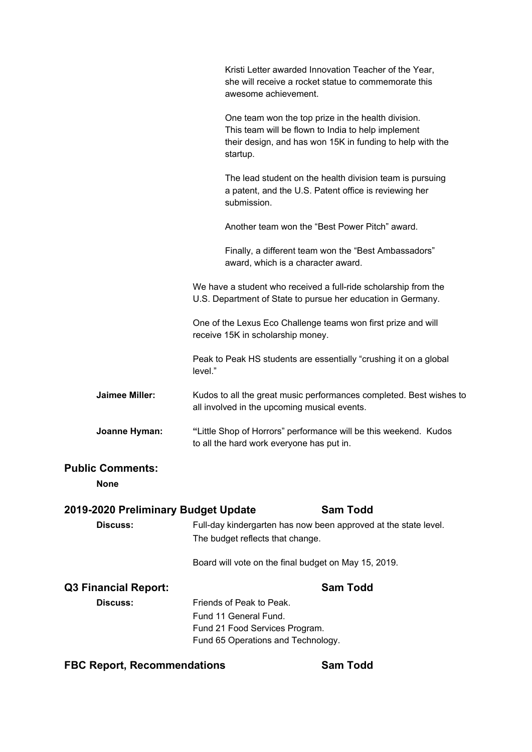|                                        | Kristi Letter awarded Innovation Teacher of the Year,<br>she will receive a rocket statue to commemorate this<br>awesome achievement.                                             |  |
|----------------------------------------|-----------------------------------------------------------------------------------------------------------------------------------------------------------------------------------|--|
|                                        | One team won the top prize in the health division.<br>This team will be flown to India to help implement<br>their design, and has won 15K in funding to help with the<br>startup. |  |
|                                        | The lead student on the health division team is pursuing<br>a patent, and the U.S. Patent office is reviewing her<br>submission.                                                  |  |
|                                        | Another team won the "Best Power Pitch" award.                                                                                                                                    |  |
|                                        | Finally, a different team won the "Best Ambassadors"<br>award, which is a character award.                                                                                        |  |
|                                        | We have a student who received a full-ride scholarship from the<br>U.S. Department of State to pursue her education in Germany.                                                   |  |
|                                        | One of the Lexus Eco Challenge teams won first prize and will<br>receive 15K in scholarship money.                                                                                |  |
|                                        | Peak to Peak HS students are essentially "crushing it on a global<br>level."                                                                                                      |  |
| <b>Jaimee Miller:</b>                  | Kudos to all the great music performances completed. Best wishes to<br>all involved in the upcoming musical events.                                                               |  |
| Joanne Hyman:                          | "Little Shop of Horrors" performance will be this weekend. Kudos<br>to all the hard work everyone has put in.                                                                     |  |
| <b>Public Comments:</b><br><b>None</b> |                                                                                                                                                                                   |  |
| 2019-2020 Preliminary Budget Update    | <b>Sam Todd</b>                                                                                                                                                                   |  |
| <b>Discuss:</b>                        | Full-day kindergarten has now been approved at the state level.<br>The budget reflects that change.                                                                               |  |
|                                        | Board will vote on the final budget on May 15, 2019.                                                                                                                              |  |
| <b>Q3 Financial Report:</b>            | <b>Sam Todd</b>                                                                                                                                                                   |  |
| <b>Discuss:</b>                        | Friends of Peak to Peak.<br>Fund 11 General Fund.<br>Fund 21 Food Services Program.<br>Fund 65 Operations and Technology.                                                         |  |

# **FBC Report, Recommendations Sam Todd**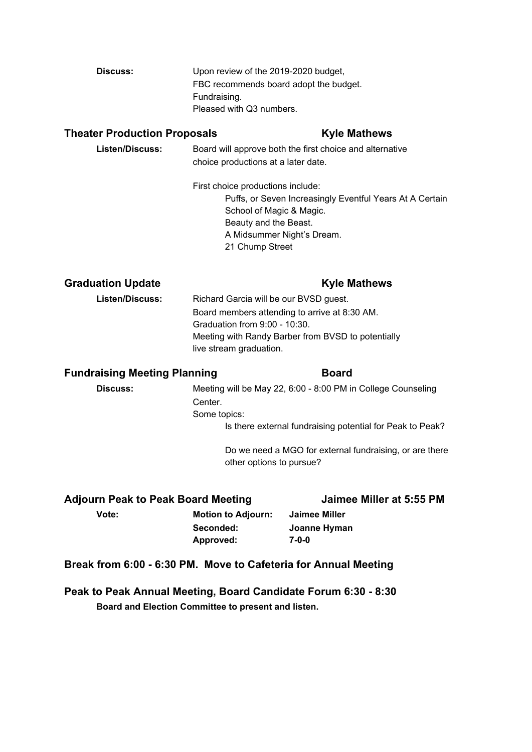| Discuss: | Upon review of the 2019-2020 budget,   |
|----------|----------------------------------------|
|          | FBC recommends board adopt the budget. |
|          | Fundraising.                           |
|          | Pleased with Q3 numbers.               |

### **Theater Production Proposals Kyle Mathews**

| <b>Listen/Discuss:</b> | Board will approve both the first choice and alternative |  |
|------------------------|----------------------------------------------------------|--|
|                        | choice productions at a later date.                      |  |
|                        | First choice productions include:                        |  |

Puffs, or Seven Increasingly Eventful Years At A Certain School of Magic & Magic. Beauty and the Beast. A Midsummer Night's Dream. 21 Chump Street

### **Graduation Update Kyle Mathews**

**Listen/Discuss:** Richard Garcia will be our BVSD guest. Board members attending to arrive at 8:30 AM. Graduation from 9:00 - 10:30. Meeting with Randy Barber from BVSD to potentially live stream graduation.

### **Fundraising Meeting Planning**  Board

# **Discuss:** Meeting will be May 22, 6:00 - 8:00 PM in College Counseling Center. Some topics: Is there external fundraising potential for Peak to Peak?

Do we need a MGO for external fundraising, or are there other options to pursue?

# **Adjourn Peak to Peak Board Meeting Jaimee Miller at 5:55 PM**

**Vote: Motion to Adjourn: Jaimee Miller Seconded: Joanne Hyman Approved: 7-0-0**

# **Break from 6:00 - 6:30 PM. Move to Cafeteria for Annual Meeting**

**Peak to Peak Annual Meeting, Board Candidate Forum 6:30 - 8:30 Board and Election Committee to present and listen.**